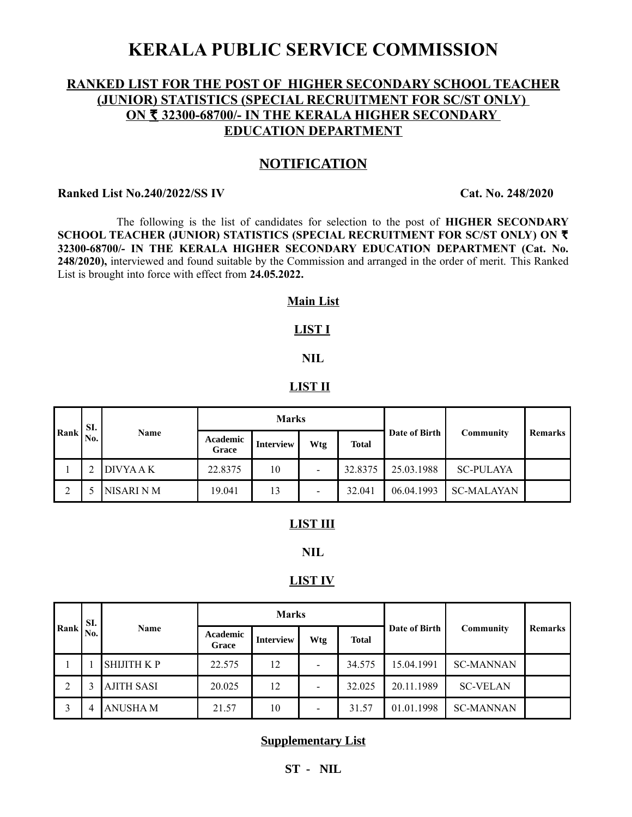# **KERALA PUBLIC SERVICE COMMISSION**

# **RANKED LIST FOR THE POST OF HIGHER SECONDARY SCHOOL TEACHER (JUNIOR) STATISTICS (SPECIAL RECRUITMENT FOR SC/ST ONLY) ON ₹ 32300-68700/- IN THE KERALA HIGHER SECONDARY EDUCATION DEPARTMENT**

# **NOTIFICATION**

## **Ranked List No.240/2022/SS IV Cat. No. 248/2020**

 The following is the list of candidates for selection to the post of **HIGHER SECONDARY SCHOOL TEACHER (JUNIOR) STATISTICS (SPECIAL RECRUITMENT FOR SC/ST ONLY) ON** R **32300-68700/- IN THE KERALA HIGHER SECONDARY EDUCATION DEPARTMENT (Cat. No. 248/2020),** interviewed and found suitable by the Commission and arranged in the order of merit. This Ranked List is brought into force with effect from **24.05.2022.**

## **Main List**

# **LIST I**

# **NIL**

### **LIST II**

| Rank | SI.<br>No. | Name       | <b>Marks</b>      |                  |                          |              |               |                   |         |
|------|------------|------------|-------------------|------------------|--------------------------|--------------|---------------|-------------------|---------|
|      |            |            | Academic<br>Grace | <b>Interview</b> | Wtg                      | <b>Total</b> | Date of Birth | Community         | Remarks |
|      |            | DIVYA A K  | 22.8375           | 10               | $\,$                     | 32.8375      | 25.03.1988    | <b>SC-PULAYA</b>  |         |
|      |            | NISARI N M | 19.041            | 13               | $\overline{\phantom{a}}$ | 32.041       | 06.04.1993    | <b>SC-MALAYAN</b> |         |

# **LIST III**

## **NIL**

#### **LIST IV**

| Rank | SI.<br>No. | Name              | <b>Marks</b>             |                  |     |              |               |                  |         |
|------|------------|-------------------|--------------------------|------------------|-----|--------------|---------------|------------------|---------|
|      |            |                   | <b>Academic</b><br>Grace | <b>Interview</b> | Wtg | <b>Total</b> | Date of Birth | Community        | Remarks |
|      |            | <b>SHIJITH KP</b> | 22.575                   | 12               |     | 34.575       | 15.04.1991    | <b>SC-MANNAN</b> |         |
|      |            | <b>AJITH SASI</b> | 20.025                   | 12               |     | 32.025       | 20.11.1989    | <b>SC-VELAN</b>  |         |
|      | 4          | <b>ANUSHA M</b>   | 21.57                    | 10               | -   | 31.57        | 01.01.1998    | <b>SC-MANNAN</b> |         |

## **Supplementary List**